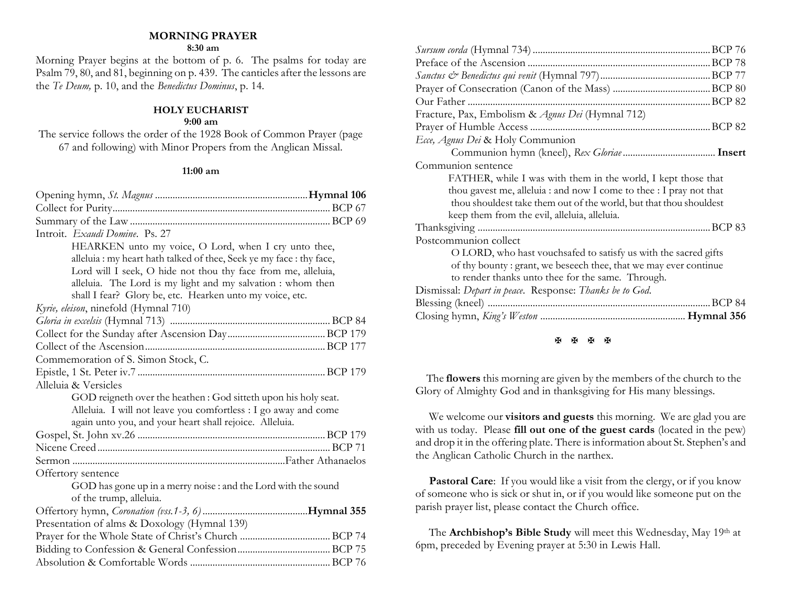### **MORNING PRAYER**

#### **8:30 am**

Morning Prayer begins at the bottom of p. 6. The psalms for today are Psalm 79, 80, and 81, beginning on p. 439. The canticles after the lessons are the *Te Deum,* p. 10, and the *Benedictus Dominus*, p. 14.

# **HOLY EUCHARIST**

## **9:00 am**

The service follows the order of the 1928 Book of Common Prayer (page 67 and following) with Minor Propers from the Anglican Missal.

#### **11:00 am**

| Introit. Exaudi Domine. Ps. 27                                       |
|----------------------------------------------------------------------|
| HEARKEN unto my voice, O Lord, when I cry unto thee,                 |
| alleluia : my heart hath talked of thee, Seek ye my face : thy face, |
| Lord will I seek, O hide not thou thy face from me, alleluia,        |
| alleluia. The Lord is my light and my salvation : whom then          |
| shall I fear? Glory be, etc. Hearken unto my voice, etc.             |
| Kyrie, eleison, ninefold (Hymnal 710)                                |
|                                                                      |
|                                                                      |
|                                                                      |
| Commemoration of S. Simon Stock, C.                                  |
|                                                                      |
| Alleluia & Versicles                                                 |
| GOD reigneth over the heathen: God sitteth upon his holy seat.       |
| Alleluia. I will not leave you comfortless : I go away and come      |
| again unto you, and your heart shall rejoice. Alleluia.              |
|                                                                      |
|                                                                      |
|                                                                      |
| Offertory sentence                                                   |
| GOD has gone up in a merry noise : and the Lord with the sound       |
| of the trump, alleluia.                                              |
|                                                                      |
| Presentation of alms & Doxology (Hymnal 139)                         |
|                                                                      |
|                                                                      |
|                                                                      |

| Fracture, Pax, Embolism & Agnus Dei (Hymnal 712)                    |
|---------------------------------------------------------------------|
|                                                                     |
| Ecce, Agnus Dei & Holy Communion                                    |
|                                                                     |
| Communion sentence                                                  |
| FATHER, while I was with them in the world, I kept those that       |
| thou gavest me, alleluia : and now I come to thee : I pray not that |
| thou shouldest take them out of the world, but that thou shouldest  |
| keep them from the evil, alleluia, alleluia.                        |
|                                                                     |
| Postcommunion collect                                               |
| O LORD, who hast vouchsafed to satisfy us with the sacred gifts     |
| of thy bounty: grant, we beseech thee, that we may ever continue    |
| to render thanks unto thee for the same. Through.                   |
| Dismissal: Depart in peace. Response: Thanks be to God.             |
| BCP 84                                                              |
|                                                                     |

#### **K K K K**

 The **flowers** this morning are given by the members of the church to the Glory of Almighty God and in thanksgiving for His many blessings.

We welcome our **visitors and guests** this morning. We are glad you are with us today. Please **fill out one of the guest cards** (located in the pew) and drop it in the offering plate. There is information about St. Stephen's and the Anglican Catholic Church in the narthex.

Pastoral Care: If you would like a visit from the clergy, or if you know of someone who is sick or shut in, or if you would like someone put on the parish prayer list, please contact the Church office.

The **Archbishop's Bible Study** will meet this Wednesday, May 19th at 6pm, preceded by Evening prayer at 5:30 in Lewis Hall.